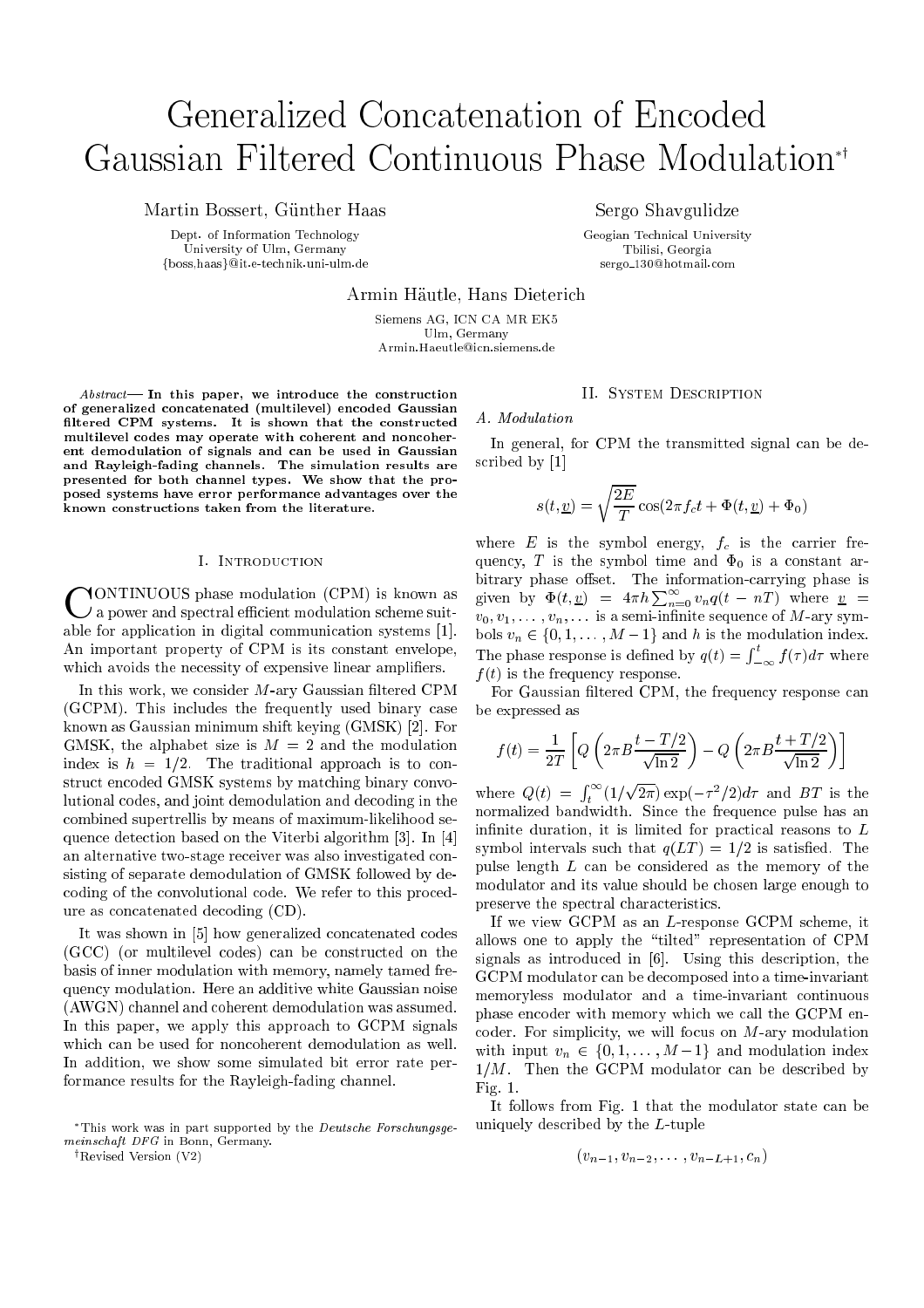# Generalized Concatenation of Encoded Gaussian Filtered Continuous Phase Modulation<sup>\*\*</sup>

Martin Bossert, Gunther Haas

Dept. of Information Technology University of Ulm, Germany fboss,haasg@it.e-technik.uni-ulm.de Sergo Shavgulidze

Geogian Technical University Tbilisi, Georgia sergo 130@hotmail.com

Armin Hautle, Hans Dieterich

Siemens AG, ICN CA MR EK5 Ulm, Germany Armin.Haeutle@icn.siemens.de

 $Abstract$ — In this paper, we introduce the construction of generalized concatenated (multilevel) encoded Gaussian filtered CPM systems. It is shown that the constructed multilevel codes may operate with coherent and noncoherent demodulation of signals and can be used in Gaussian and Rayleigh-fading channels. The simulation results are presented for both channel types. We show that the proposed systems have error performance advantages over the known constructions taken from the literature.

## I. Introduction

C a power and spectral efficient modulation scheme suitable for application in digital communication systems [1]. An important property of CPM is its constant envelope, which avoids the necessity of expensive linear amplifiers.

In this work, we consider  $M$ -ary Gaussian filtered CPM (GCPM). This includes the frequently used binary case known as Gaussian minimum shift keying (GMSK) [2]. For GMSK, the alphabet size is  $M = 2$  and the modulation index is  $h = 1/2$ . The traditional approach is to construct encoded GMSK systems by matching binary convolutional codes, and joint demodulation and decoding in the combined supertrellis by means of maximum-likelihood sequence detection based on the Viterbi algorithm [3]. In [4] an alternative two-stage receiver was also investigated consisting of separate demodulation of GMSK followed by decoding of the convolutional code. We refer to this procedure as concatenated decoding (CD).

It was shown in [5] how generalized concatenated codes (GCC) (or multilevel codes) can be constructed on the basis of inner modulation with memory, namely tamed frequency modulation. Here an additive white Gaussian noise (AWGN) channel and coherent demodulation was assumed. In this paper, we apply this approach to GCPM signals which can be used for noncoherent demodulation as well. In addition, we show some simulated bit error rate performance results for the Rayleigh-fading channel.

 $\dagger$ Revised Version (V2)

## II. System Description

#### A. Modulation

In general, for CPM the transmitted signal can be described by [1]

$$
s(t, \underline{v}) = \sqrt{\frac{2E}{T}} \cos(2\pi f_c t + \Phi(t, \underline{v}) + \Phi_0)
$$

where  $E$  is the symbol energy,  $f_c$  is the carrier frequency, T is the symbol time and  $\Phi_0$  is a constant arbitrary phase offset. The information-carrying phase is given by  $\Phi(t, \underline{v}) = 4\pi h \sum_{n=0}^{\infty} v_n q(t - nT)$  where  $\underline{v}$  =  $v_0, v_1, \ldots, v_n, \ldots$  is a semi-infinite sequence of M-ary symbols  $v_n \in \{0, 1, \ldots, M-1\}$  and h is the modulation index. The phase response is defined by  $\mathbf{r}_i$  and  $\mathbf{r}_j$  and  $\mathbf{r}_j$  and  $\mathbf{r}_j$  and  $\mathbf{r}_j$  and  $\mathbf{r}_j$  and  $\mathbf{r}_j$  and  $\mathbf{r}_j$  and  $\mathbf{r}_j$  and  $\mathbf{r}_j$  and  $\mathbf{r}_j$  and  $\mathbf{r}_j$  and  $\mathbf{r}_j$  and  $\mathbf{r$  $\int_{-\infty}^{t} f(\tau) d\tau$  where  $f(t)$  is the frequency response.

For Gaussian filtered CPM, the frequency response can be expressed as

$$
f(t) = \frac{1}{2T} \left[ Q \left( 2\pi B \frac{t - T/2}{\sqrt{\ln 2}} \right) - Q \left( 2\pi B \frac{t + T/2}{\sqrt{\ln 2}} \right) \right]
$$

where  $\sim$   $\sim$   $\sim$   $\sim$   $\sim$   $\sim$   $\sim$  $\int_{1}^{\infty} (1/$ <sup>t</sup> provided and the con- $2\pi$ ) exp( $-\tau$ - $\pi$ ) $a\tau$  and  $B$  is the normalized bandwidth. Since the frequence pulse has an interventional pulse has an intervention of the frequence pulse has an intervention of the frequence pulse has an intervention of the frequence pulse has an interventi infinite duration, it is limited for practical reasons to  $L$ symbol intervals such that  $q(LT) = 1/2$  is satisfied. The pulse length <sup>L</sup> can be considered as the memory of the modulator and its value should be chosen large enough to preserve the spectral characteristics.

If we view GCPM as an L-response GCPM scheme, it allows one to apply the \tilted" representation of CPM signals as introduced in [6]. Using this description, the GCPM modulator can be decomposed into a time-invariant memoryless modulator and a time-invariant continuous phase encoder with memory which we call the GCPM encoder. For simplicity, we will focus on  $M$ -ary modulation with input  $v_n \in \{0, 1, \ldots, M-1\}$  and modulation index  $1/M$ . Then the GCPM modulator can be described by Fig. 1.

It follows from Fig. 1 that the modulator state can be uniquely described by the L-tuple

$$
(v_{n-1}, v_{n-2}, \ldots, v_{n-L+1}, c_n)
$$

This work was in part supported by the Deutsche Forschungsgemeinschaft DFG in Bonn, Germany.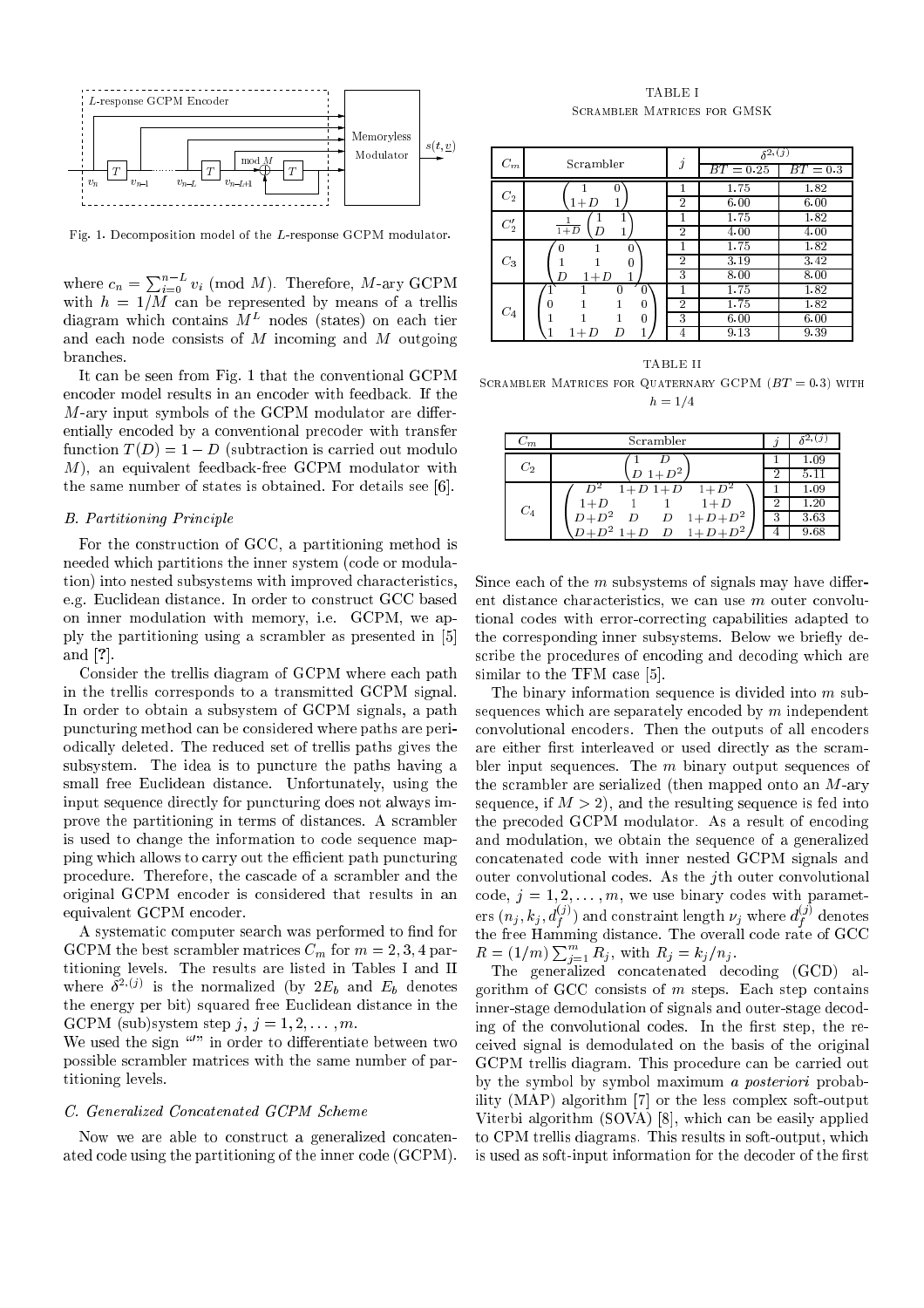

Fig. 1. Decomposition model of the L-response GCPM modulator.

where  $c_n = \sum_{i=0}^{n-L} v_i \pmod{M}$ . Therefore, M-ary GCPM with  $h = 1/M$  can be represented by means of a trellis  $q$ iagram which contains  $M^-$  nodes (states) on each tier and each node consists of <sup>M</sup> incoming and <sup>M</sup> outgoing branches.

It can be seen from Fig. 1 that the conventional GCPM encoder model results in an encoder with feedback. If the  $M$ -ary input symbols of the GCPM modulator are differentially encoded by a conventional precoder with transfer function  $T(D) = 1 - D$  (subtraction is carried out modulo M), an equivalent feedback-free GCPM modulator with the same number of states is obtained. For details see [6].

## B. Partitioning Principle

For the construction of GCC, a partitioning method is needed which partitions the inner system (code or modulation) into nested subsystems with improved characteristics, e.g. Euclidean distance. In order to construct GCC based on inner modulation with memory, i.e. GCPM, we apply the partitioning using a scrambler as presented in [5] and [?].

Consider the trellis diagram of GCPM where each path in the trellis corresponds to a transmitted GCPM signal. In order to obtain a subsystem of GCPM signals, a path puncturing method can be considered where paths are periodically deleted. The reduced set of trellis paths gives the subsystem. The idea is to puncture the paths having a small free Euclidean distance. Unfortunately, using the input sequence directly for puncturing does not always improve the partitioning in terms of distances. A scrambler is used to change the information to code sequence mapping which allows to carry out the efficient path puncturing procedure. Therefore, the cascade of a scrambler and the original GCPM encoder is considered that results in an equivalent GCPM encoder.

A systematic computer search was performed to find for GCPM the best scrambler matrices  $C_m$  for  $m = 2, 3, 4$  partitioning levels. The results are listed in Tables I and II where  $\sigma^{-1}$ , is the normalized (by  $2E_b$  and  $E_b$  denotes the energy per bit) squared free Euclidean distance in the GCPM (sub)system step  $j, j = 1, 2, \ldots, m$ .

We used the sign in order to differentiate between two possible scrambler matrices with the same number of partitioning levels.

## C. Generalized Concatenated GCPM Scheme

Now we are able to construct a generalized concatenated code using the partitioning of the inner code (GCPM).

TABLE I Scrambler Matrices for GMSK

|              | Scrambler      | $\jmath$       | $\delta^{2,(j)}$ |            |
|--------------|----------------|----------------|------------------|------------|
| $C_m$        |                |                | $BT = 0.25$      | $BT = 0.3$ |
| $C_2$        | $\overline{0}$ |                | 1.75             | 1.82       |
|              | 1<br>$1+D$     | $\overline{2}$ | 6.00             | 6.00       |
| $C_2^\prime$ |                | 1              | 1.75             | 1.82       |
|              | $1+D$<br>D     | $\overline{2}$ | 4.00             | 4.00       |
| $C_3$        | $\Omega$       |                | 1.75             | 1.82       |
|              | 0              | $\overline{2}$ | 3.19             | 3.42       |
|              | D<br>$1+D$     | 3              | 8.00             | 8.00       |
|              | $\Omega$<br>0  |                | 1.75             | 1.82       |
| $C_4$        | 0<br>0         | $\overline{2}$ | 1.75             | 1.82       |
|              | 0              | 3              | 6.00             | 6.00       |
|              | $1+D$<br>D     | 4              | 9.13             | 9.39       |

TABLE II SCRAMBLER MATRICES FOR QUATERNARY GCPM  $(BT = 0.3)$  with  $h = 1/4$ 

| $\scriptstyle{C_{m}}$ | Scrambler                                                      |   |      |
|-----------------------|----------------------------------------------------------------|---|------|
| $C_2$                 |                                                                |   | 1.09 |
|                       | $D_1 + D^2$ .                                                  |   |      |
|                       | $1 + \overline{D^2}$<br>$1 + D$ $1 + D$                        |   | 1.09 |
| $C_4$                 | $1+D$<br>$1+D$                                                 |   | l 20 |
|                       | $D+D^2$<br>$1 + D + D^2$<br>$\boldsymbol{D}$<br>$\overline{D}$ | 3 | 3.63 |
|                       | $D \quad 1 + D + D^2$<br>$1+D$                                 |   | 9.68 |

Since each of the  $m$  subsystems of signals may have different distance characteristics, we can use <sup>m</sup> outer convolutional codes with error-correcting capabilities adapted to the corresponding inner subsystems. Below we briefly describe the procedures of encoding and decoding which are similar to the TFM case [5].

The binary information sequence is divided into m subsequences which are separately encoded by  $m$  independent convolutional encoders. Then the outputs of all encoders are either first interleaved or used directly as the scrambler input sequences. The  $m$  binary output sequences of the scrambler are serialized (then mapped onto an M-ary sequence, if  $M > 2$ , and the resulting sequence is fed into the precoded GCPM modulator. As a result of encoding and modulation, we obtain the sequence of a generalized concatenated code with inner nested GCPM signals and outer convolutional codes. As the jth outer convolutional code,  $j = 1, 2, \ldots, m$ , we use binary codes with parameters  $(n_j, k_j, d^{\vee j}_f)$  and constraint length  $\nu_j$  where  $d^{\vee j}_f$  denotes  $\cdot$ the free Hamming distance. The overall code rate of GCC  $R = (1/m) \sum_{i=1}^{m} R_i$ , with  $R_j = k_j / n_j$ .

The generalized concatenated decoding (GCD) algorithm of GCC consists of  $m$  steps. Each step contains inner-stage demodulation of signals and outer-stage decoding of the convolutional codes. In the first step, the received signal is demodulated on the basis of the original GCPM trellis diagram. This procedure can be carried out by the symbol by symbol maximum a posteriori probability (MAP) algorithm [7] or the less complex soft-output Viterbi algorithm (SOVA) [8], which can be easily applied to CPM trellis diagrams. This results in soft-output, which is used as soft-input information for the decoder of the first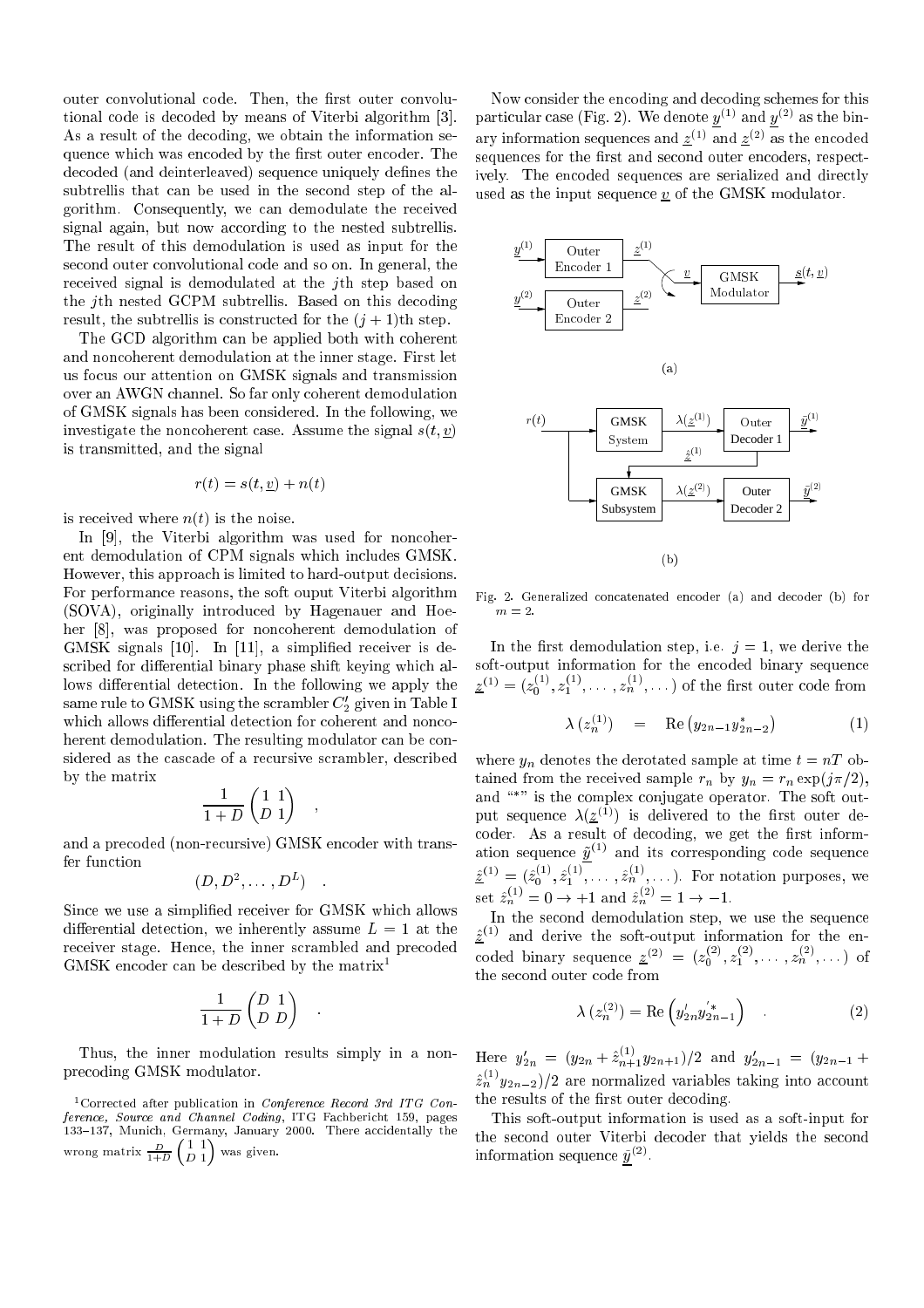outer convolutional code. Then, the first outer convolutional code is decoded by means of Viterbi algorithm [3]. As a result of the decoding, we obtain the information sequence which was encoded by the first outer encoder. The decoded (and deinterleaved) sequence uniquely defines the subtrellis that can be used in the second step of the algorithm. Consequently, we can demodulate the received signal again, but now according to the nested subtrellis. The result of this demodulation is used as input for the second outer convolutional code and so on. In general, the received signal is demodulated at the jth step based on the jth nested GCPM subtrellis. Based on this decoding result, the subtrellis is constructed for the  $(j + 1)$ th step.

The GCD algorithm can be applied both with coherent and noncoherent demodulation at the inner stage. First let us focus our attention on GMSK signals and transmission over an AWGN channel. So far only coherent demodulation of GMSK signals has been considered. In the following, we investigate the noncoherent case. Assume the signal  $s(t, v)$ is transmitted, and the signal

$$
r(t) = s(t, \underline{v}) + n(t)
$$

is received where  $n(t)$  is the noise.

In [9], the Viterbi algorithm was used for noncoherent demodulation of CPM signals which includes GMSK. However, this approach is limited to hard-output decisions. For performance reasons, the soft ouput Viterbi algorithm (SOVA), originally introduced by Hagenauer and Hoeher [8], was proposed for noncoherent demodulation of GMSK signals [10]. In [11], a simplied receiver is described for differential binary phase shift keying which allows differential detection. In the following we apply the same rule to GMSK using the scrambler  $C_2$  given in Table I which allows differential detection for coherent and noncoherent demodulation. The resulting modulator can be considered as the cascade of a recursive scrambler, described by the matrix

$$
\frac{1}{1+D} \begin{pmatrix} 1 & 1 \\ D & 1 \end{pmatrix}
$$

;

and a precoded (non-recursive) GMSK encoder with transfer function

$$
(D, D^2, \ldots, D^L) \quad .
$$

Since we use a simplified receiver for GMSK which allows differential detection, we inherently assume  $L = 1$  at the receiver stage. Hence, the inner scrambled and precoded GMSK encoder can be described by the matrix1

$$
\frac{1}{1+D} \begin{pmatrix} D & 1 \\ D & D \end{pmatrix}
$$

Thus, the inner modulation results simply in a nonprecoding GMSK modulator.

1Corrected after publication in Conference Record 3rd ITG Conference, Source and Channel Coding, ITG Fachbericht 159, pages 133{137, Munich, Germany, January 2000. There accidentally the wrong matrix  $\frac{1}{1+D}$  $(11)$ - - $\sim$ was given by the control of the control of the control of the control of the control of the control of the control of the control of the control of the control of the control of the control of the control of the control of

Now consider the encoding and decoding schemes for this particular case (Fig. 2). We denote  $\underline{y}^{(1)}$  and  $\underline{y}^{(2)}$  as the binary information sequences and  $z^{<\gamma}$  and  $z^{<\gamma}$  as the encoded sequences for the first and second outer encoders, respectively. The encoded sequences are serialized and directly used as the input sequence  $\underline{v}$  of the GMSK modulator.



Fig. 2. Generalized concatenated encoder (a) and decoder (b) for  $m-2$ 

In the first demodulation step, i.e.  $j = 1$ , we derive the soft-output information for the encoded binary sequence  $\underline{z}^{(1)}=(z_0^{\times},z_1^{\times},\dots,z_n^{\times},\dots)$  of the first outer code from

$$
\lambda (z_n^{(1)}) = \text{Re} (y_{2n-1} y_{2n-2}^*) \qquad (1)
$$

where  $y_n$  denotes the derotated sample at time  $t = nT$  obtained from the received sample  $r_n$  by  $y_n = r_n \exp(j\pi/2)$ , and \ " is the complex conjugate operator. The soft output sequence  $A(z \wedge z)$  is delivered to the first outer decoder. As a result of decoding, we get the first information sequence  $y^{\gamma - \gamma}$  and its corresponding code sequence  $\underline{z}^{\scriptscriptstyle (+)} = (z_0^{\scriptscriptstyle (-)}, z_1^{\scriptscriptstyle (-)}, \ldots, z_n^{\scriptscriptstyle (-)}, \ldots)$  for notation purposes, we set  $z_n^{\scriptscriptstyle \vee\vee} = 0 \rightarrow +1$  and  $z_n^{\scriptscriptstyle \vee\vee} = 1 \rightarrow -1$ .

In the second demodulation step, we use the sequence  $z^{\leftarrow}$  and derive the soft-output information for the encoded binary sequence  $\underline{z}^{(z)} = (z_0^{(z)}, z_1^{(z)}, \ldots, z_n^{(z)}, \ldots)$  of the second outer code from

$$
\lambda (z_n^{(2)}) = \text{Re} \left( y'_{2n} y'_{2n-1} \right) \tag{2}
$$

Here  $y'_{2n} = (y_{2n} + z_{n+1}^{\prime\prime}y_{2n+1})/2$  and  $y'_{2n-1} = (y_{2n-1} + z_{n+1}^{\prime\prime})/2$  $\langle z_n \rangle / y_{2n-2}$  are normalized variables taking into account the results of the first outer decoding.

This soft-output information is used as a soft-input for the second outer Viterbi decoder that yields the second information sequence  $y_{\uparrow}$  .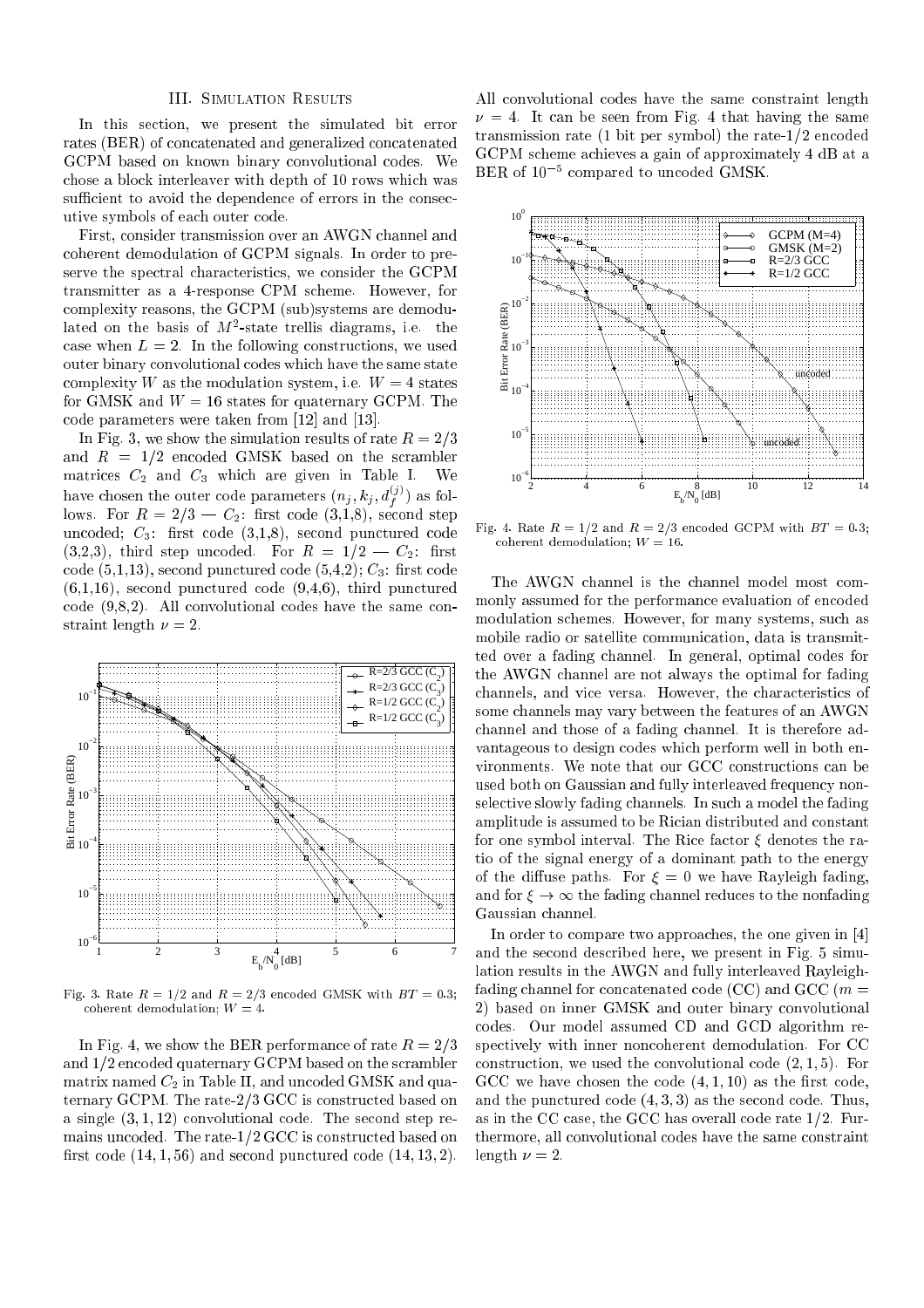## III. Simulation Results

In this section, we present the simulated bit error rates (BER) of concatenated and generalized concatenated GCPM based on known binary convolutional codes. We chose a block interleaver with depth of 10 rows which was sufficient to avoid the dependence of errors in the consecutive symbols of each outer code.

First, consider transmission over an AWGN channel and coherent demodulation of GCPM signals. In order to preserve the spectral characteristics, we consider the GCPM transmitter as a 4-response CPM scheme. However, for complexity reasons, the GCPM (sub)systems are demodulated on the basis of  $M$ -state trellis diagrams, i.e. the case when  $L = 2$ . In the following constructions, we used outer binary convolutional codes which have the same state complexity W as the modulation system, i.e.  $W = 4$  states for GMSK and  $W = 16$  states for quaternary GCPM. The code parameters were taken from [12] and [13].

In Fig. 3, we show the simulation results of rate  $R = 2/3$ and  $R = 1/2$  encoded GMSK based on the scrambler matrices  $C_2$  and  $C_3$  which are given in Table I. We have chosen the outer code parameters  $(n_j, k_j, d_f^{(j)})$  as follows. For  $R = 2/3 - C_2$ : first code (3,1,8), second step uncoded;  $C_3$ : first code  $(3,1,8)$ , second punctured code  $(3,2,3)$ , third step uncoded. For  $R = 1/2 - C_2$ : first code  $(5,1,13)$ , second punctured code  $(5,4,2)$ ;  $C_3$ : first code  $(6,1,16)$ , second punctured code  $(9,4,6)$ , third punctured code (9,8,2). All convolutional codes have the same constraint length  $\nu = 2$ .



Fig. 3. Rate  $R = 1/2$  and  $R = 2/3$  encoded GMSK with  $BT = 0.3$ ; coherent demodulation;  $W = 4$ .

In Fig. 4, we show the BER performance of rate  $R = 2/3$ and  $1/2$  encoded quaternary GCPM based on the scrambler matrix named  $C_2$  in Table II, and uncoded GMSK and quaternary GCPM. The rate-2/3 GCC is constructed based on a single  $(3, 1, 12)$  convolutional code. The second step remains uncoded. The rate- $1/2$  GCC is constructed based on first code  $(14, 1, 56)$  and second punctured code  $(14, 13, 2)$ .

All convolutional codes have the same constraint length  $\nu = 4$ . It can be seen from Fig. 4 that having the same transmission rate  $(1 \text{ bit per symbol})$  the rate- $1/2$  encoded GCPM scheme achieves a gain of approximately 4 dB at a BER of 105 compared to uncoded GMSK.



Fig. 4. Rate  $R = 1/2$  and  $R = 2/3$  encoded GCPM with  $BT = 0.3$ ; coherent demodulation;  $W = 16$ .

The AWGN channel is the channel model most commonly assumed for the performance evaluation of encoded modulation schemes. However, for many systems, such as mobile radio or satellite communication, data is transmitted over a fading channel. In general, optimal codes for the AWGN channel are not always the optimal for fading channels, and vice versa. However, the characteristics of some channels may vary between the features of an AWGN channel and those of a fading channel. It is therefore advantageous to design codes which perform well in both environments. We note that our GCC constructions can be used both on Gaussian and fully interleaved frequency nonselective slowly fading channels. In such a model the fading amplitude is assumed to be Rician distributed and constant for one symbol interval. The Rice factor  $\xi$  denotes the ratio of the signal energy of a dominant path to the energy of the diffuse paths. For  $\xi = 0$  we have Rayleigh fading, and for  $\xi \to \infty$  the fading channel reduces to the nonfading Gaussian channel.

In order to compare two approaches, the one given in [4] and the second described here, we present in Fig. 5 simulation results in the AWGN and fully interleaved Rayleighfading channel for concatenated code (CC) and GCC ( $m =$ 2) based on inner GMSK and outer binary convolutional codes. Our model assumed CD and GCD algorithm respectively with inner noncoherent demodulation. For CC construction, we used the convolutional code  $(2, 1, 5)$ . For GCC we have chosen the code  $(4, 1, 10)$  as the first code, and the punctured code  $(4, 3, 3)$  as the second code. Thus, as in the CC case, the GCC has overall code rate  $1/2$ . Furthermore, all convolutional codes have the same constraint length  $\nu = 2$ .